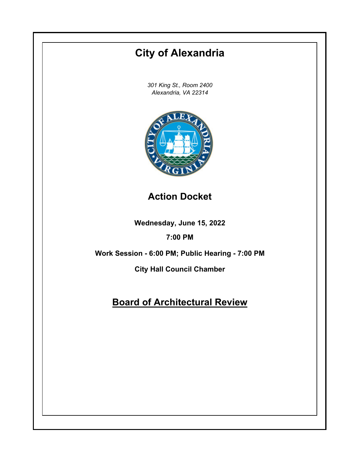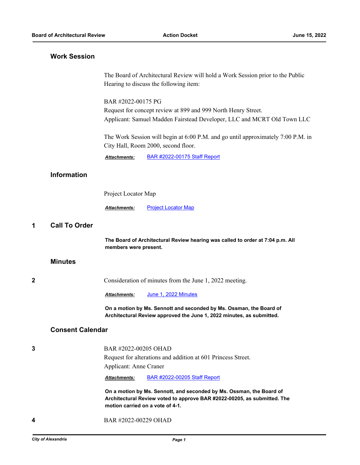# **Work Session**

The Board of Architectural Review will hold a Work Session prior to the Public Hearing to discuss the following item:

BAR #2022-00175 PG

Request for concept review at 899 and 999 North Henry Street. Applicant: Samuel Madden Fairstead Developer, LLC and MCRT Old Town LLC

The Work Session will begin at 6:00 P.M. and go until approximately 7:00 P.M. in City Hall, Room 2000, second floor.

*Attachments:* [BAR #2022-00175 Staff Report](http://alexandria.legistar.com/gateway.aspx?M=F&ID=536bb1e3-6fc0-4f8c-b7fb-ebe74dbab44a.pdf)

## **Information**

Project Locator Map

*Attachments:* [Project Locator Map](http://alexandria.legistar.com/gateway.aspx?M=F&ID=883a80d0-b95e-4584-8bf8-380fb912c3b8.pdf)

#### **1 Call To Order**

**The Board of Architectural Review hearing was called to order at 7:04 p.m. All members were present.**

#### **Minutes**

**2** Consideration of minutes from the June 1, 2022 meeting.

*Attachments:* [June 1, 2022 Minutes](http://alexandria.legistar.com/gateway.aspx?M=F&ID=299adb16-6206-46af-8015-070f4d6637fa.pdf)

**On a motion by Ms. Sennott and seconded by Ms. Ossman, the Board of Architectural Review approved the June 1, 2022 minutes, as submitted.**

## **Consent Calendar**

### **3** BAR #2022-00205 OHAD

Request for alterations and addition at 601 Princess Street. Applicant: Anne Craner

*Attachments:* [BAR #2022-00205 Staff Report](http://alexandria.legistar.com/gateway.aspx?M=F&ID=8230a26e-f02c-4009-8ab9-3c672c74775e.pdf)

**On a motion by Ms. Sennott, and seconded by Ms. Ossman, the Board of Architectural Review voted to approve BAR #2022-00205, as submitted. The motion carried on a vote of 4-1.**

**4** BAR #2022-00229 OHAD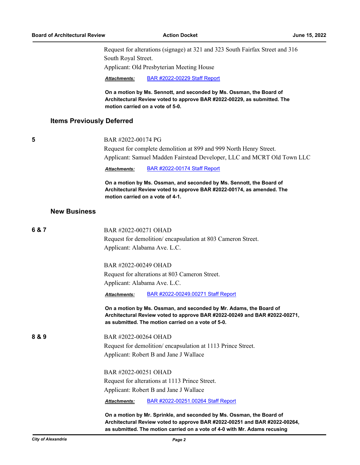Request for alterations (signage) at 321 and 323 South Fairfax Street and 316 South Royal Street.

Applicant: Old Presbyterian Meeting House

*Attachments:* [BAR #2022-00229 Staff Report](http://alexandria.legistar.com/gateway.aspx?M=F&ID=b531be3e-8853-4b21-9f4c-3f16d2141901.pdf)

**On a motion by Ms. Sennott, and seconded by Ms. Ossman, the Board of Architectural Review voted to approve BAR #2022-00229, as submitted. The motion carried on a vote of 5-0.**

# **Items Previously Deferred**

|  | I |  |
|--|---|--|
|  |   |  |

#### **5** BAR #2022-00174 PG

Request for complete demolition at 899 and 999 North Henry Street. Applicant: Samuel Madden Fairstead Developer, LLC and MCRT Old Town LLC

*Attachments:* [BAR #2022-00174 Staff Report](http://alexandria.legistar.com/gateway.aspx?M=F&ID=81185070-19a2-47f3-96fb-89560b2c288e.pdf)

**On a motion by Ms. Ossman, and seconded by Ms. Sennott, the Board of Architectural Review voted to approve BAR #2022-00174, as amended. The motion carried on a vote of 4-1.**

#### **New Business**

| 6 & 7 | BAR #2022-00271 OHAD<br>Request for demolition/encapsulation at 803 Cameron Street.                                                                                                                                              |  |  |  |
|-------|----------------------------------------------------------------------------------------------------------------------------------------------------------------------------------------------------------------------------------|--|--|--|
|       |                                                                                                                                                                                                                                  |  |  |  |
|       | Applicant: Alabama Ave. L.C.<br>BAR #2022-00249 OHAD<br>Request for alterations at 803 Cameron Street.<br>Applicant: Alabama Ave. L.C.                                                                                           |  |  |  |
|       |                                                                                                                                                                                                                                  |  |  |  |
|       |                                                                                                                                                                                                                                  |  |  |  |
|       |                                                                                                                                                                                                                                  |  |  |  |
|       | BAR #2022-00249.00271 Staff Report<br><b>Attachments:</b>                                                                                                                                                                        |  |  |  |
|       | On a motion by Ms. Ossman, and seconded by Mr. Adams, the Board of<br>Architectural Review voted to approve BAR #2022-00249 and BAR #2022-00271,<br>as submitted. The motion carried on a vote of 5-0.                           |  |  |  |
| 8 & 9 | BAR #2022-00264 OHAD                                                                                                                                                                                                             |  |  |  |
|       | Request for demolition/encapsulation at 1113 Prince Street.                                                                                                                                                                      |  |  |  |
|       | Applicant: Robert B and Jane J Wallace                                                                                                                                                                                           |  |  |  |
|       | BAR#2022-00251 OHAD                                                                                                                                                                                                              |  |  |  |
|       | Request for alterations at 1113 Prince Street.                                                                                                                                                                                   |  |  |  |
|       | Applicant: Robert B and Jane J Wallace                                                                                                                                                                                           |  |  |  |
|       | BAR #2022-00251.00264 Staff Report<br><b>Attachments:</b>                                                                                                                                                                        |  |  |  |
|       | On a motion by Mr. Sprinkle, and seconded by Ms. Ossman, the Board of<br>Architectural Review voted to approve BAR #2022-00251 and BAR #2022-00264,<br>as submitted. The motion carried on a vote of 4-0 with Mr. Adams recusing |  |  |  |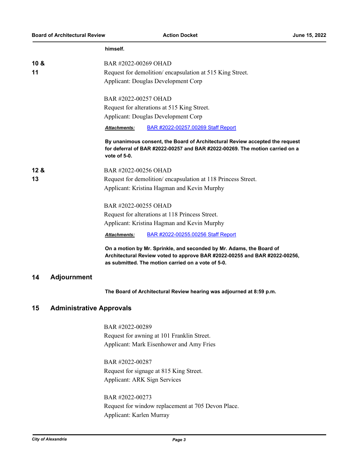**himself.**

| 10 <sub>8</sub> |                                                          | BAR #2022-00269 OHAD                                                                                                                                                                                     |  |  |  |
|-----------------|----------------------------------------------------------|----------------------------------------------------------------------------------------------------------------------------------------------------------------------------------------------------------|--|--|--|
| 11              | Request for demolition/encapsulation at 515 King Street. |                                                                                                                                                                                                          |  |  |  |
|                 |                                                          | Applicant: Douglas Development Corp                                                                                                                                                                      |  |  |  |
|                 |                                                          |                                                                                                                                                                                                          |  |  |  |
|                 |                                                          | BAR #2022-00257 OHAD                                                                                                                                                                                     |  |  |  |
|                 |                                                          | Request for alterations at 515 King Street.<br>Applicant: Douglas Development Corp                                                                                                                       |  |  |  |
|                 |                                                          |                                                                                                                                                                                                          |  |  |  |
|                 |                                                          | BAR #2022-00257.00269 Staff Report<br><b>Attachments:</b>                                                                                                                                                |  |  |  |
|                 |                                                          | By unanimous consent, the Board of Architectural Review accepted the request<br>for deferral of BAR #2022-00257 and BAR #2022-00269. The motion carried on a<br>vote of 5-0.                             |  |  |  |
| 12 &            |                                                          | BAR #2022-00256 OHAD                                                                                                                                                                                     |  |  |  |
| 13              |                                                          | Request for demolition/encapsulation at 118 Princess Street.                                                                                                                                             |  |  |  |
|                 |                                                          | Applicant: Kristina Hagman and Kevin Murphy                                                                                                                                                              |  |  |  |
|                 |                                                          | BAR #2022-00255 OHAD                                                                                                                                                                                     |  |  |  |
|                 |                                                          | Request for alterations at 118 Princess Street.                                                                                                                                                          |  |  |  |
|                 |                                                          | Applicant: Kristina Hagman and Kevin Murphy                                                                                                                                                              |  |  |  |
|                 |                                                          | BAR #2022-00255.00256 Staff Report<br><b>Attachments:</b>                                                                                                                                                |  |  |  |
|                 |                                                          | On a motion by Mr. Sprinkle, and seconded by Mr. Adams, the Board of<br>Architectural Review voted to approve BAR #2022-00255 and BAR #2022-00256,<br>as submitted. The motion carried on a vote of 5-0. |  |  |  |
| 14              | <b>Adjournment</b>                                       |                                                                                                                                                                                                          |  |  |  |
|                 |                                                          | The Board of Architectural Review hearing was adjourned at 8:59 p.m.                                                                                                                                     |  |  |  |
| 15              | <b>Administrative Approvals</b>                          |                                                                                                                                                                                                          |  |  |  |
|                 |                                                          | BAR #2022-00289                                                                                                                                                                                          |  |  |  |
|                 |                                                          | Request for awning at 101 Franklin Street.                                                                                                                                                               |  |  |  |
|                 |                                                          | Applicant: Mark Eisenhower and Amy Fries                                                                                                                                                                 |  |  |  |
|                 |                                                          | BAR #2022-00287                                                                                                                                                                                          |  |  |  |
|                 |                                                          | Request for signage at 815 King Street.                                                                                                                                                                  |  |  |  |
|                 |                                                          | Applicant: ARK Sign Services                                                                                                                                                                             |  |  |  |
|                 |                                                          | BAR #2022-00273                                                                                                                                                                                          |  |  |  |

Request for window replacement at 705 Devon Place. Applicant: Karlen Murray